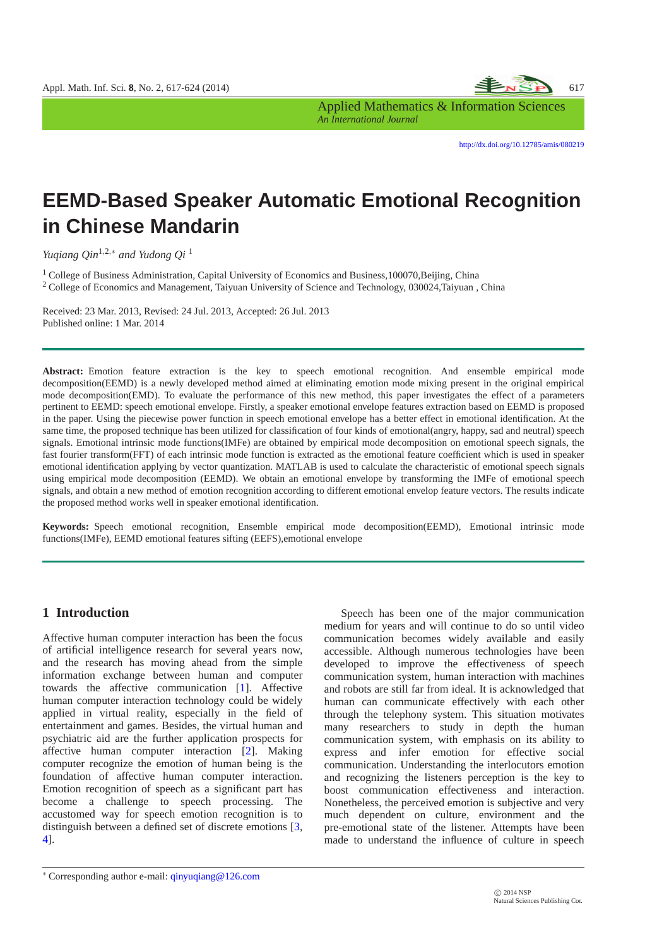

Applied Mathematics & Information Sciences *An International Journal*

<http://dx.doi.org/10.12785/amis/080219>

# **EEMD-Based Speaker Automatic Emotional Recognition in Chinese Mandarin**

*Yuqiang Qin*1,2,<sup>∗</sup> *and Yudong Qi* <sup>1</sup>

<sup>1</sup> College of Business Administration, Capital University of Economics and Business,100070,Beijing, China <sup>2</sup> College of Economics and Management, Taiyuan University of Science and Technology, 030024,Taiyuan , China

Received: 23 Mar. 2013, Revised: 24 Jul. 2013, Accepted: 26 Jul. 2013 Published online: 1 Mar. 2014

**Abstract:** Emotion feature extraction is the key to speech emotional recognition. And ensemble empirical mode decomposition(EEMD) is a newly developed method aimed at eliminating emotion mode mixing present in the original empirical mode decomposition(EMD). To evaluate the performance of this new method, this paper investigates the effect of a parameters pertinent to EEMD: speech emotional envelope. Firstly, a speaker emotional envelope features extraction based on EEMD is proposed in the paper. Using the piecewise power function in speech emotional envelope has a better effect in emotional identification. At the same time, the proposed technique has been utilized for classification of four kinds of emotional(angry, happy, sad and neutral) speech signals. Emotional intrinsic mode functions(IMFe) are obtained by empirical mode decomposition on emotional speech signals, the fast fourier transform(FFT) of each intrinsic mode function is extracted as the emotional feature coefficient which is used in speaker emotional identification applying by vector quantization. MATLAB is used to calculate the characteristic of emotional speech signals using empirical mode decomposition (EEMD). We obtain an emotional envelope by transforming the IMFe of emotional speech signals, and obtain a new method of emotion recognition according to different emotional envelop feature vectors. The results indicate the proposed method works well in speaker emotional identification.

**Keywords:** Speech emotional recognition, Ensemble empirical mode decomposition(EEMD), Emotional intrinsic mode functions(IMFe), EEMD emotional features sifting (EEFS),emotional envelope

# **1 Introduction**

Affective human computer interaction has been the focus of artificial intelligence research for several years now, and the research has moving ahead from the simple information exchange between human and computer towards the affective communication [\[1\]](#page-6-0). Affective human computer interaction technology could be widely applied in virtual reality, especially in the field of entertainment and games. Besides, the virtual human and psychiatric aid are the further application prospects for affective human computer interaction [\[2\]](#page-6-1). Making computer recognize the emotion of human being is the foundation of affective human computer interaction. Emotion recognition of speech as a significant part has become a challenge to speech processing. The accustomed way for speech emotion recognition is to distinguish between a defined set of discrete emotions [\[3,](#page-6-2) [4\]](#page-6-3).

Speech has been one of the major communication medium for years and will continue to do so until video communication becomes widely available and easily accessible. Although numerous technologies have been developed to improve the effectiveness of speech communication system, human interaction with machines and robots are still far from ideal. It is acknowledged that human can communicate effectively with each other through the telephony system. This situation motivates many researchers to study in depth the human communication system, with emphasis on its ability to express and infer emotion for effective social communication. Understanding the interlocutors emotion and recognizing the listeners perception is the key to boost communication effectiveness and interaction. Nonetheless, the perceived emotion is subjective and very much dependent on culture, environment and the pre-emotional state of the listener. Attempts have been made to understand the influence of culture in speech

<sup>∗</sup> Corresponding author e-mail: qinyuqiang@126.com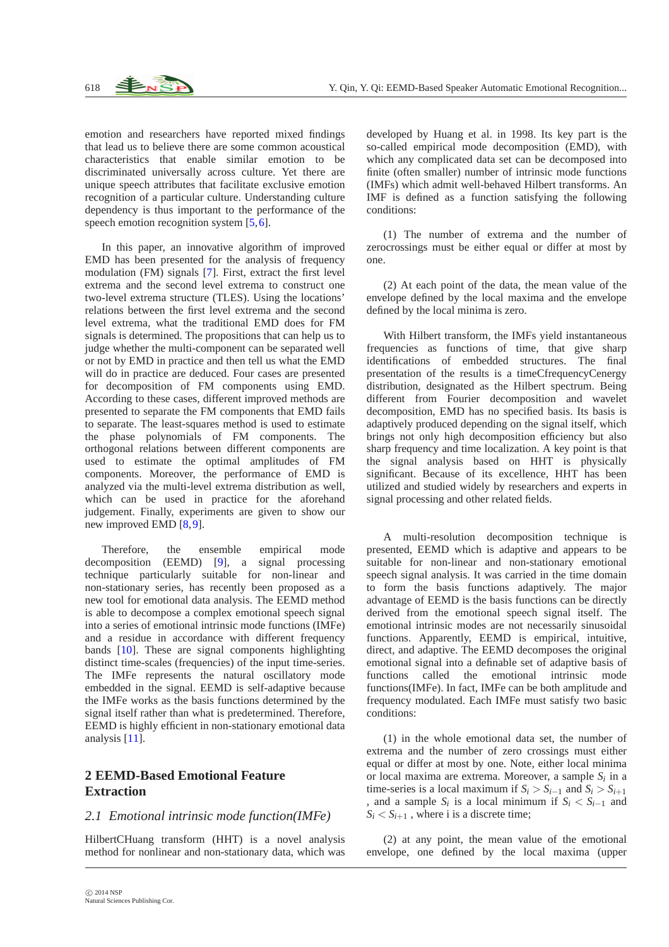emotion and researchers have reported mixed findings that lead us to believe there are some common acoustical characteristics that enable similar emotion to be discriminated universally across culture. Yet there are unique speech attributes that facilitate exclusive emotion recognition of a particular culture. Understanding culture dependency is thus important to the performance of the speech emotion recognition system [\[5,](#page-6-4)[6\]](#page-6-5).

In this paper, an innovative algorithm of improved EMD has been presented for the analysis of frequency modulation (FM) signals [\[7\]](#page-6-6). First, extract the first level extrema and the second level extrema to construct one two-level extrema structure (TLES). Using the locations' relations between the first level extrema and the second level extrema, what the traditional EMD does for FM signals is determined. The propositions that can help us to judge whether the multi-component can be separated well or not by EMD in practice and then tell us what the EMD will do in practice are deduced. Four cases are presented for decomposition of FM components using EMD. According to these cases, different improved methods are presented to separate the FM components that EMD fails to separate. The least-squares method is used to estimate the phase polynomials of FM components. The orthogonal relations between different components are used to estimate the optimal amplitudes of FM components. Moreover, the performance of EMD is analyzed via the multi-level extrema distribution as well, which can be used in practice for the aforehand judgement. Finally, experiments are given to show our new improved EMD [\[8,](#page-6-7)[9\]](#page-6-8).

Therefore, the ensemble empirical mode decomposition (EEMD) [\[9\]](#page-6-8), a signal processing technique particularly suitable for non-linear and non-stationary series, has recently been proposed as a new tool for emotional data analysis. The EEMD method is able to decompose a complex emotional speech signal into a series of emotional intrinsic mode functions (IMFe) and a residue in accordance with different frequency bands [\[10\]](#page-6-9). These are signal components highlighting distinct time-scales (frequencies) of the input time-series. The IMFe represents the natural oscillatory mode embedded in the signal. EEMD is self-adaptive because the IMFe works as the basis functions determined by the signal itself rather than what is predetermined. Therefore, EEMD is highly efficient in non-stationary emotional data analysis [\[11\]](#page-6-10).

# **2 EEMD-Based Emotional Feature Extraction**

#### *2.1 Emotional intrinsic mode function(IMFe)*

HilbertCHuang transform (HHT) is a novel analysis method for nonlinear and non-stationary data, which was developed by Huang et al. in 1998. Its key part is the so-called empirical mode decomposition (EMD), with which any complicated data set can be decomposed into finite (often smaller) number of intrinsic mode functions (IMFs) which admit well-behaved Hilbert transforms. An IMF is defined as a function satisfying the following conditions:

(1) The number of extrema and the number of zerocrossings must be either equal or differ at most by one.

(2) At each point of the data, the mean value of the envelope defined by the local maxima and the envelope defined by the local minima is zero.

With Hilbert transform, the IMFs yield instantaneous frequencies as functions of time, that give sharp identifications of embedded structures. The final presentation of the results is a timeCfrequencyCenergy distribution, designated as the Hilbert spectrum. Being different from Fourier decomposition and wavelet decomposition, EMD has no specified basis. Its basis is adaptively produced depending on the signal itself, which brings not only high decomposition efficiency but also sharp frequency and time localization. A key point is that the signal analysis based on HHT is physically significant. Because of its excellence, HHT has been utilized and studied widely by researchers and experts in signal processing and other related fields.

A multi-resolution decomposition technique is presented, EEMD which is adaptive and appears to be suitable for non-linear and non-stationary emotional speech signal analysis. It was carried in the time domain to form the basis functions adaptively. The major advantage of EEMD is the basis functions can be directly derived from the emotional speech signal itself. The emotional intrinsic modes are not necessarily sinusoidal functions. Apparently, EEMD is empirical, intuitive, direct, and adaptive. The EEMD decomposes the original emotional signal into a definable set of adaptive basis of functions called the emotional intrinsic mode functions(IMFe). In fact, IMFe can be both amplitude and frequency modulated. Each IMFe must satisfy two basic conditions:

(1) in the whole emotional data set, the number of extrema and the number of zero crossings must either equal or differ at most by one. Note, either local minima or local maxima are extrema. Moreover, a sample *S<sup>i</sup>* in a time-series is a local maximum if  $S_i > S_{i-1}$  and  $S_i > S_{i+1}$ , and a sample  $S_i$  is a local minimum if  $S_i < S_{i-1}$  and  $S_i < S_{i+1}$ , where i is a discrete time;

(2) at any point, the mean value of the emotional envelope, one defined by the local maxima (upper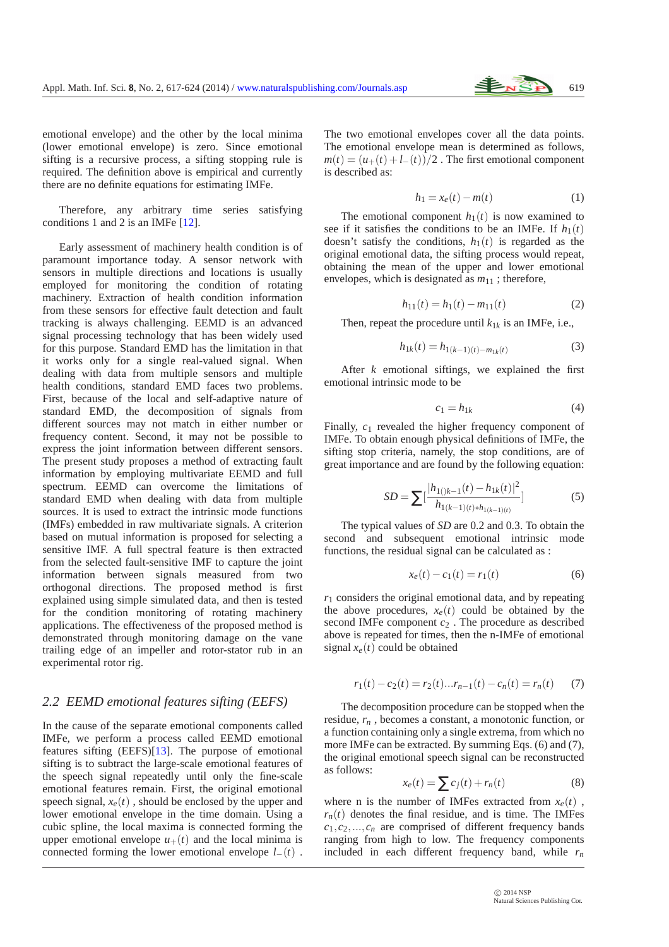

emotional envelope) and the other by the local minima (lower emotional envelope) is zero. Since emotional sifting is a recursive process, a sifting stopping rule is required. The definition above is empirical and currently there are no definite equations for estimating IMFe.

Therefore, any arbitrary time series satisfying conditions 1 and 2 is an IMFe [\[12\]](#page-6-11).

Early assessment of machinery health condition is of paramount importance today. A sensor network with sensors in multiple directions and locations is usually employed for monitoring the condition of rotating machinery. Extraction of health condition information from these sensors for effective fault detection and fault tracking is always challenging. EEMD is an advanced signal processing technology that has been widely used for this purpose. Standard EMD has the limitation in that it works only for a single real-valued signal. When dealing with data from multiple sensors and multiple health conditions, standard EMD faces two problems. First, because of the local and self-adaptive nature of standard EMD, the decomposition of signals from different sources may not match in either number or frequency content. Second, it may not be possible to express the joint information between different sensors. The present study proposes a method of extracting fault information by employing multivariate EEMD and full spectrum. EEMD can overcome the limitations of standard EMD when dealing with data from multiple sources. It is used to extract the intrinsic mode functions (IMFs) embedded in raw multivariate signals. A criterion based on mutual information is proposed for selecting a sensitive IMF. A full spectral feature is then extracted from the selected fault-sensitive IMF to capture the joint information between signals measured from two orthogonal directions. The proposed method is first explained using simple simulated data, and then is tested for the condition monitoring of rotating machinery applications. The effectiveness of the proposed method is demonstrated through monitoring damage on the vane trailing edge of an impeller and rotor-stator rub in an experimental rotor rig.

#### *2.2 EEMD emotional features sifting (EEFS)*

In the cause of the separate emotional components called IMFe, we perform a process called EEMD emotional features sifting (EEFS)[\[13\]](#page-6-12). The purpose of emotional sifting is to subtract the large-scale emotional features of the speech signal repeatedly until only the fine-scale emotional features remain. First, the original emotional speech signal,  $x_e(t)$ , should be enclosed by the upper and lower emotional envelope in the time domain. Using a cubic spline, the local maxima is connected forming the upper emotional envelope  $u_{+}(t)$  and the local minima is connected forming the lower emotional envelope *l*−(*t*) . The two emotional envelopes cover all the data points. The emotional envelope mean is determined as follows,  $m(t) = (u_+(t) + l_-(t))/2$ . The first emotional component is described as:

$$
h_1 = x_e(t) - m(t) \tag{1}
$$

The emotional component  $h_1(t)$  is now examined to see if it satisfies the conditions to be an IMFe. If  $h_1(t)$ doesn't satisfy the conditions,  $h_1(t)$  is regarded as the original emotional data, the sifting process would repeat, obtaining the mean of the upper and lower emotional envelopes, which is designated as  $m_{11}$ ; therefore,

$$
h_{11}(t) = h_1(t) - m_{11}(t) \tag{2}
$$

Then, repeat the procedure until  $k_{1k}$  is an IMFe, i.e.,

$$
h_{1k}(t) = h_{1(k-1)(t) - m_{1k}(t)} \tag{3}
$$

After *k* emotional siftings, we explained the first emotional intrinsic mode to be

$$
c_1 = h_{1k} \tag{4}
$$

Finally,  $c_1$  revealed the higher frequency component of IMFe. To obtain enough physical definitions of IMFe, the sifting stop criteria, namely, the stop conditions, are of great importance and are found by the following equation:

$$
SD = \sum \left[ \frac{|h_{1(j)k-1}(t) - h_{1k}(t)|^2}{h_{1(k-1)(t)*h_{1(k-1)(t)}}} \right]
$$
(5)

The typical values of *SD* are 0.2 and 0.3. To obtain the second and subsequent emotional intrinsic mode functions, the residual signal can be calculated as :

$$
x_e(t) - c_1(t) = r_1(t)
$$
 (6)

 $r_1$  considers the original emotional data, and by repeating the above procedures,  $x_e(t)$  could be obtained by the second IMFe component *c*<sup>2</sup> . The procedure as described above is repeated for times, then the n-IMFe of emotional signal  $x_e(t)$  could be obtained

$$
r_1(t) - c_2(t) = r_2(t) \dots r_{n-1}(t) - c_n(t) = r_n(t) \tag{7}
$$

The decomposition procedure can be stopped when the residue, *r<sup>n</sup>* , becomes a constant, a monotonic function, or a function containing only a single extrema, from which no more IMFe can be extracted. By summing Eqs. (6) and (7), the original emotional speech signal can be reconstructed as follows:

$$
x_e(t) = \sum c_j(t) + r_n(t)
$$
\n(8)

where n is the number of IMFes extracted from  $x_e(t)$ ,  $r_n(t)$  denotes the final residue, and is time. The IMFes  $c_1, c_2, \ldots, c_n$  are comprised of different frequency bands ranging from high to low. The frequency components included in each different frequency band, while  $r_n$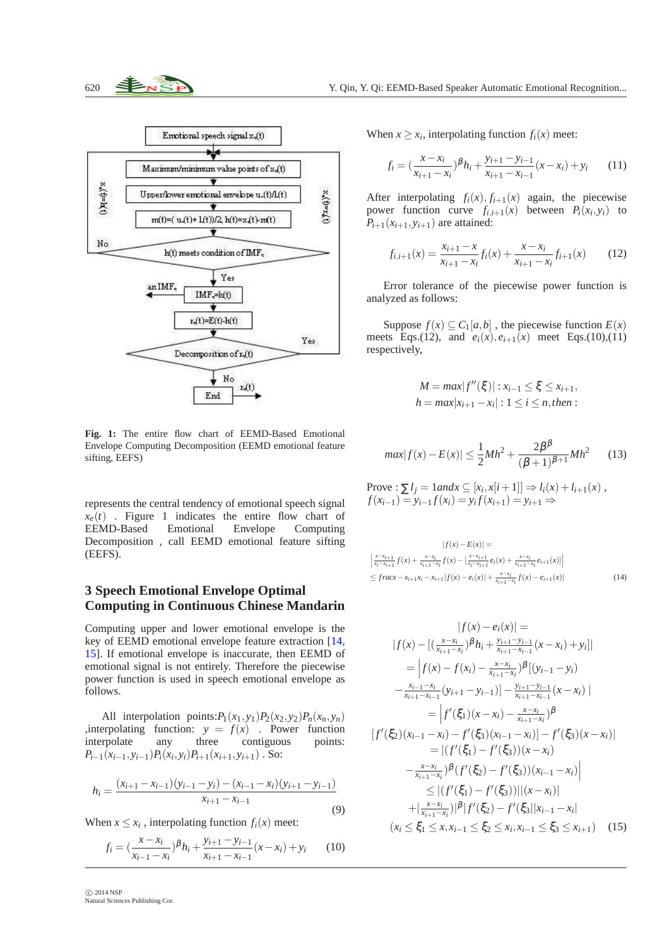

**Fig. 1:** The entire flow chart of EEMD-Based Emotional Envelope Computing Decomposition (EEMD emotional feature sifting, EEFS)

represents the central tendency of emotional speech signal  $x_e(t)$  . Figure 1 indicates the entire flow chart of EEMD-Based Emotional Envelope Computing EEMD-Based Emotional Envelope Computing Decomposition , call EEMD emotional feature sifting (EEFS).

# **3 Speech Emotional Envelope Optimal Computing in Continuous Chinese Mandarin**

Computing upper and lower emotional envelope is the key of EEMD emotional envelope feature extraction [\[14,](#page-6-13) [15\]](#page-6-14). If emotional envelope is inaccurate, then EEMD of emotional signal is not entirely. Therefore the piecewise power function is used in speech emotional envelope as follows.

All interpolation points: $P_1(x_1, y_1)P_2(x_2, y_2)P_n(x_n, y_n)$ ,interpolating function:  $y = f(x)$ . Power function interpolate any three contiguous points:  $P_{i-1}(x_{i-1}, y_{i-1})P_i(x_i, y_i)P_{i+1}(x_{i+1}, y_{i+1})$ . So:

$$
h_i = \frac{(x_{i+1} - x_{i-1})(y_{i-1} - y_i) - (x_{i-1} - x_i)(y_{i+1} - y_{i-1})}{x_{i+1} - x_{i-1}}
$$
\n(9)

When  $x \leq x_i$ , interpolating function  $f_i(x)$  meet:

$$
f_i = \left(\frac{x - x_i}{x_{i-1} - x_i}\right)^{\beta} h_i + \frac{y_{i+1} - y_{i-1}}{x_{i+1} - x_{i-1}} (x - x_i) + y_i \tag{10}
$$

When  $x \ge x_i$ , interpolating function  $f_i(x)$  meet:

$$
f_i = \left(\frac{x - x_i}{x_{i+1} - x_i}\right)^{\beta} h_i + \frac{y_{i+1} - y_{i-1}}{x_{i+1} - x_{i-1}} (x - x_i) + y_i \tag{11}
$$

After interpolating  $f_i(x)$ ,  $f_{i+1}(x)$  again, the piecewise power function curve  $f_{i,i+1}(x)$  between  $P_i(x_i, y_i)$  to  $P_{i+1}(x_{i+1}, y_{i+1})$  are attained:

$$
f_{i,i+1}(x) = \frac{x_{i+1} - x}{x_{i+1} - x_i} f_i(x) + \frac{x - x_i}{x_{i+1} - x_i} f_{i+1}(x)
$$
(12)

Error tolerance of the piecewise power function is analyzed as follows:

Suppose  $f(x) \subseteq C_1[a, b]$ , the piecewise function  $E(x)$ meets Eqs.(12), and  $e_i(x)$ ,  $e_{i+1}(x)$  meet Eqs.(10),(11) respectively,

$$
M = \max |f''(\xi)| : x_{i-1} \le \xi \le x_{i+1},
$$
  
 
$$
h = \max |x_{i+1} - x_i| : 1 \le i \le n, then :
$$

$$
max|f(x) - E(x)| \le \frac{1}{2}Mh^2 + \frac{2\beta^{\beta}}{(\beta+1)^{\beta+1}}Mh^2 \qquad (13)
$$

Prove :  $\sum l_j = 1$  *and*  $x \subseteq [x_i, x[i+1]] \Rightarrow l_i(x) + l_{i+1}(x)$ , *f*(*x*<sub>*i*-1</sub>) = *y*<sub>*i*-1</sub>*f*(*x*<sub>*i*</sub>) = *y*<sub>*i*</sub>*f*(*x*<sub>*i*+1</sub>) = *y*<sub>*i*+1</sub> ⇒

$$
|f(x) - E(x)| =
$$
  
\n
$$
\left| \frac{x - x_{i+1}}{x_i - x_{i+1}} f(x) + \frac{x - x_i}{x_{i+1} - x_i} f(x) - \left[ \frac{x - x_{i+1}}{x_i - x_{i+1}} e_i(x) + \frac{x - x_i}{x_{i+1} - x_i} e_{i+1}(x) \right] \right|
$$
  
\n
$$
\leq frac{x - x_{i+1}x_i - x_{i+1}} |f(x) - e_i(x)| + \frac{x - x_i}{x_{i+1} - x_i} f(x) - e_{i+1}(x)|
$$
\n(14)

$$
|f(x) - e_i(x)| =
$$
  
\n
$$
|f(x) - [(\frac{x - x_i}{x_{i+1} - x_i})^{\beta} h_i + \frac{y_{i+1} - y_{i-1}}{x_{i+1} - x_{i-1}} (x - x_i) + y_i]
$$
  
\n
$$
= |f(x) - f(x_i) - \frac{x - x_i}{x_{i+1} - x_{i-1}}^{\beta} |(y_{i-1} - y_i)
$$
  
\n
$$
- \frac{x_{i-1} - x_i}{x_{i+1} - x_{i-1}} (y_{i+1} - y_{i-1}) - \frac{y_{i+1} - y_{i-1}}{x_{i+1} - x_{i-1}} (x - x_i) |
$$
  
\n
$$
= |f'(\xi_1)(x - x_i) - \frac{x - x_i}{x_{i+1} - x_i}^{\beta} \beta
$$
  
\n
$$
[f'(\xi_2)(x_{i-1} - x_i) - f'(\xi_3)(x_{i-1} - x_i)] - f'(\xi_3)(x - x_i)|
$$
  
\n
$$
= |(f'(\xi_1) - f'(\xi_3)) (x - x_i)
$$
  
\n
$$
- \frac{x - x_i}{x_{i+1} - x_i}^{\beta} \beta (f'(\xi_2) - f'(\xi_3)) |(x - x_i)|
$$
  
\n
$$
\leq |(f'(\xi_1) - f'(\xi_3))||(x - x_i)|
$$
  
\n
$$
+ |\frac{x - x_i}{x_{i+1} - x_i}|^{\beta} |f'(\xi_2) - f'(\xi_3||x_{i-1} - x_i|)
$$
  
\n
$$
(x_i \leq \xi_1 \leq x, x_{i-1} \leq \xi_2 \leq x_i, x_{i-1} \leq \xi_3 \leq x_{i+1})
$$
 (15)

 c 2014 NSP Natural Sciences Publishing Cor.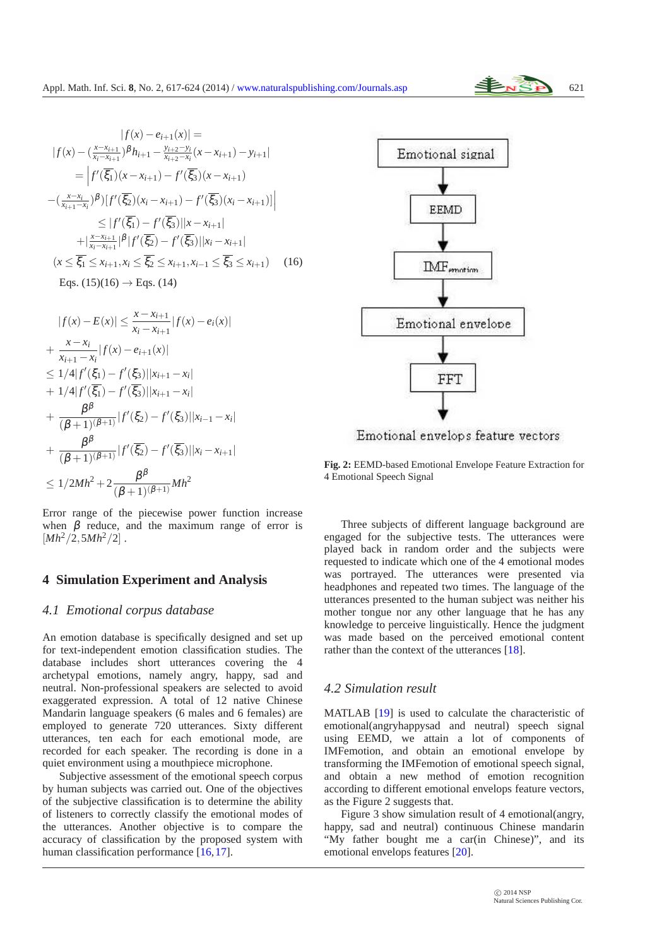$$
|f(x) - e_{i+1}(x)| =
$$
  
\n
$$
|f(x) - (\frac{x - x_{i+1}}{x_i - x_{i+1}})^{\beta} h_{i+1} - \frac{y_{i+2} - y_i}{x_{i+2} - x_i}(x - x_{i+1}) - y_{i+1}|
$$
  
\n
$$
= |f'(\overline{\xi_1})(x - x_{i+1}) - f'(\overline{\xi_3})(x - x_{i+1})
$$
  
\n
$$
-(\frac{x - x_i}{x_{i+1} - x_i})^{\beta} |f'(\overline{\xi_2})(x_i - x_{i+1}) - f'(\overline{\xi_3})(x_i - x_{i+1})|
$$
  
\n
$$
\leq |f'(\overline{\xi_1}) - f'(\overline{\xi_3})||x - x_{i+1}|
$$
  
\n
$$
+ |\frac{x - x_{i+1}}{x_i - x_{i+1}}|^{\beta} |f'(\overline{\xi_2}) - f'(\overline{\xi_3})||x_i - x_{i+1}|
$$
  
\n
$$
(x \leq \overline{\xi_1} \leq x_{i+1}, x_i \leq \overline{\xi_2} \leq x_{i+1}, x_{i-1} \leq \overline{\xi_3} \leq x_{i+1})
$$
 (16)  
\nEqs. (15)(16)  $\rightarrow$  Eqs. (14)

$$
|f(x) - E(x)| \leq \frac{x - x_{i+1}}{x_i - x_{i+1}} |f(x) - e_i(x)|
$$
  
+ 
$$
\frac{x - x_i}{x_{i+1} - x_i} |f(x) - e_{i+1}(x)|
$$
  

$$
\leq 1/4 |f'(\xi_1) - f'(\xi_3)| |x_{i+1} - x_i|
$$
  
+ 
$$
1/4 |f'(\overline{\xi_1}) - f'(\overline{\xi_3})| |x_{i+1} - x_i|
$$
  
+ 
$$
\frac{\beta^{\beta}}{(\beta + 1)(\beta + 1)} |f'(\xi_2) - f'(\xi_3)| |x_{i-1} - x_i|
$$
  
+ 
$$
\frac{\beta^{\beta}}{(\beta + 1)(\beta + 1)} |f'(\overline{\xi_2}) - f'(\overline{\xi_3})| |x_i - x_{i+1}|
$$
  

$$
\leq 1/2Mh^2 + 2\frac{\beta^{\beta}}{(\beta + 1)(\beta + 1)} Mh^2
$$

Error range of the piecewise power function increase when  $\beta$  reduce, and the maximum range of error is  $[Mh^2/2,5Mh^2/2]$ .

#### **4 Simulation Experiment and Analysis**

#### *4.1 Emotional corpus database*

An emotion database is specifically designed and set up for text-independent emotion classification studies. The database includes short utterances covering the 4 archetypal emotions, namely angry, happy, sad and neutral. Non-professional speakers are selected to avoid exaggerated expression. A total of 12 native Chinese Mandarin language speakers (6 males and 6 females) are employed to generate 720 utterances. Sixty different utterances, ten each for each emotional mode, are recorded for each speaker. The recording is done in a quiet environment using a mouthpiece microphone.

Subjective assessment of the emotional speech corpus by human subjects was carried out. One of the objectives of the subjective classification is to determine the ability of listeners to correctly classify the emotional modes of the utterances. Another objective is to compare the accuracy of classification by the proposed system with human classification performance [\[16,](#page-6-15)[17\]](#page-6-16).



**Fig. 2:** EEMD-based Emotional Envelope Feature Extraction for 4 Emotional Speech Signal

Three subjects of different language background are engaged for the subjective tests. The utterances were played back in random order and the subjects were requested to indicate which one of the 4 emotional modes was portrayed. The utterances were presented via headphones and repeated two times. The language of the utterances presented to the human subject was neither his mother tongue nor any other language that he has any knowledge to perceive linguistically. Hence the judgment was made based on the perceived emotional content rather than the context of the utterances [\[18\]](#page-6-17).

#### *4.2 Simulation result*

MATLAB [\[19\]](#page-6-18) is used to calculate the characteristic of emotional(angryhappysad and neutral) speech signal using EEMD, we attain a lot of components of IMFemotion, and obtain an emotional envelope by transforming the IMFemotion of emotional speech signal, and obtain a new method of emotion recognition according to different emotional envelops feature vectors, as the Figure 2 suggests that.

Figure 3 show simulation result of 4 emotional(angry, happy, sad and neutral) continuous Chinese mandarin "My father bought me a car(in Chinese)", and its emotional envelops features [\[20\]](#page-6-19).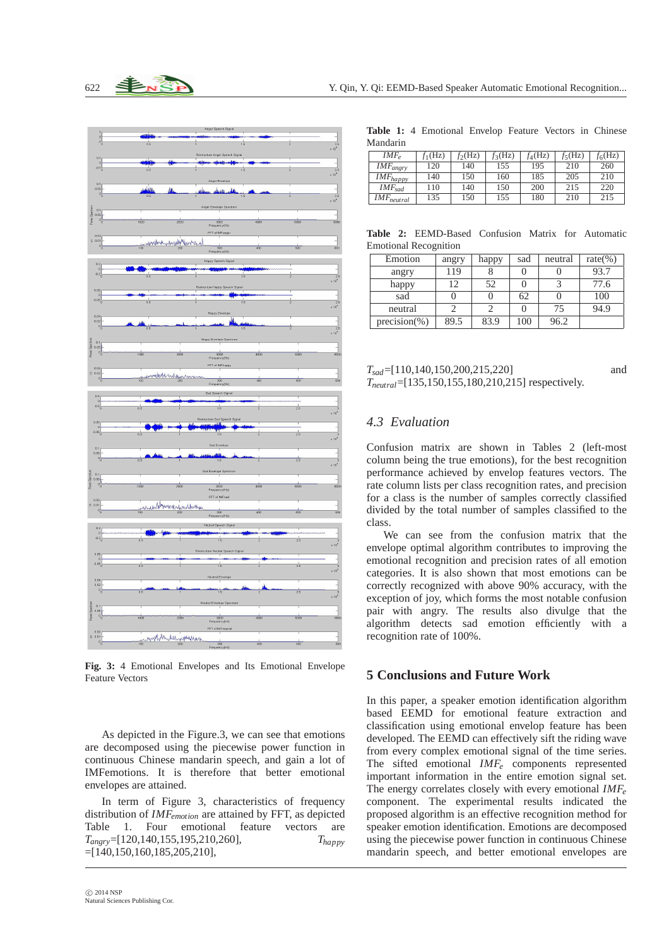

**Fig. 3:** 4 Emotional Envelopes and Its Emotional Envelope Feature Vectors

As depicted in the Figure.3, we can see that emotions are decomposed using the piecewise power function in continuous Chinese mandarin speech, and gain a lot of IMFemotions. It is therefore that better emotional envelopes are attained.

In term of Figure 3, characteristics of frequency distribution of *IMFemotion* are attained by FFT, as depicted Table 1. Four emotional feature vectors are *Tangry*=[120,140,155,195,210,260], *Thappy* =[140,150,160,185,205,210],

**Table 1:** 4 Emotional Envelop Feature Vectors in Chinese Mandarin

| . |                 |           |           |           |           |           |           |  |  |
|---|-----------------|-----------|-----------|-----------|-----------|-----------|-----------|--|--|
|   | $IMF_e$         | $f_1(Hz)$ | $f_2(Hz)$ | $f_3(Hz)$ | $f_4(Hz)$ | $f_5(Hz)$ | $f_6(Hz)$ |  |  |
|   | $IMF_{angry}$   | 120       | 140       | 155       | 195       | 210       | 260       |  |  |
|   | $IMF_{happy}$   | 140       | 150       | 160       | 185       | 205       | 210       |  |  |
|   | $IMF_{sad}$     | 110       | 140       | 150       | 200       | 215       | 220       |  |  |
|   | $IMF_{neutral}$ | 135       | 150       | 155       | 180       | 210       | 215       |  |  |

**Table 2:** EEMD-Based Confusion Matrix for Automatic Emotional Recognition

| Emotion         | angry | happy | sad | neutral | rate $(\% )$ |
|-----------------|-------|-------|-----|---------|--------------|
| angry           | 119   |       |     |         | 93.7         |
| happy           | 12    | 52    |     |         | 77.6         |
| sad             |       |       | 62  |         | 100          |
| neutral         |       |       |     | 75      | 94.9         |
| $precision(\%)$ | 89.5  | 83.9  | 100 | 96.2    |              |

*T*<sub>sad</sub> = [110,140,150,200,215,220] and *Tneutral*=[135,150,155,180,210,215] respectively.

### *4.3 Evaluation*

Confusion matrix are shown in Tables 2 (left-most column being the true emotions), for the best recognition performance achieved by envelop features vectors. The rate column lists per class recognition rates, and precision for a class is the number of samples correctly classified divided by the total number of samples classified to the class.

We can see from the confusion matrix that the envelope optimal algorithm contributes to improving the emotional recognition and precision rates of all emotion categories. It is also shown that most emotions can be correctly recognized with above 90% accuracy, with the exception of joy, which forms the most notable confusion pair with angry. The results also divulge that the algorithm detects sad emotion efficiently with a recognition rate of 100%.

#### **5 Conclusions and Future Work**

In this paper, a speaker emotion identification algorithm based EEMD for emotional feature extraction and classification using emotional envelop feature has been developed. The EEMD can effectively sift the riding wave from every complex emotional signal of the time series. The sifted emotional *IMF<sup>e</sup>* components represented important information in the entire emotion signal set. The energy correlates closely with every emotional *IMF<sup>e</sup>* component. The experimental results indicated the proposed algorithm is an effective recognition method for speaker emotion identification. Emotions are decomposed using the piecewise power function in continuous Chinese mandarin speech, and better emotional envelopes are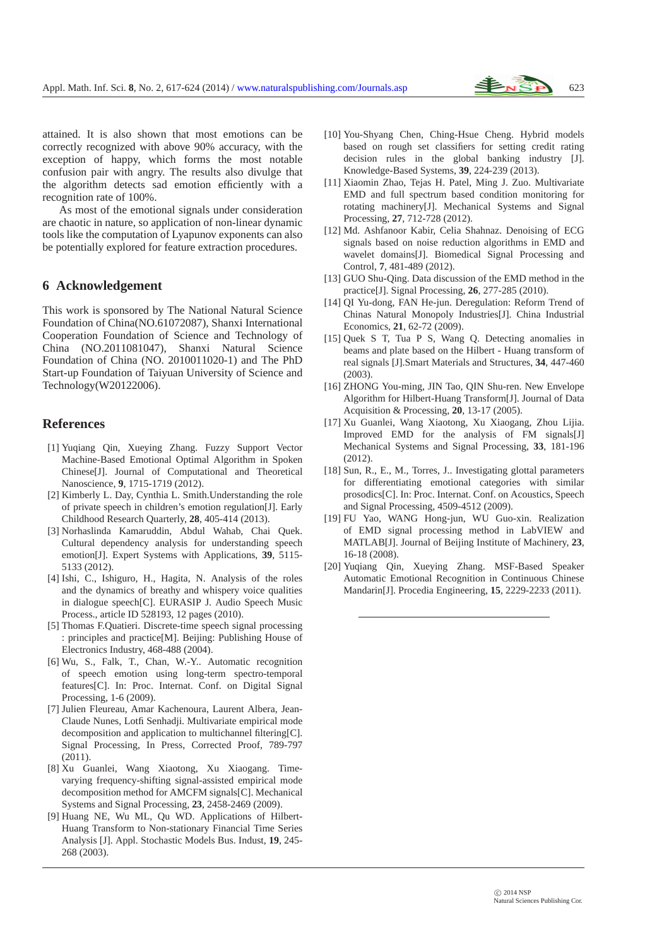

attained. It is also shown that most emotions can be correctly recognized with above 90% accuracy, with the exception of happy, which forms the most notable confusion pair with angry. The results also divulge that the algorithm detects sad emotion efficiently with a recognition rate of 100%.

As most of the emotional signals under consideration are chaotic in nature, so application of non-linear dynamic tools like the computation of Lyapunov exponents can also be potentially explored for feature extraction procedures.

#### **6 Acknowledgement**

This work is sponsored by The National Natural Science Foundation of China(NO.61072087), Shanxi International Cooperation Foundation of Science and Technology of China (NO.2011081047), Shanxi Natural Science Foundation of China (NO. 2010011020-1) and The PhD Start-up Foundation of Taiyuan University of Science and Technology(W20122006).

# <span id="page-6-0"></span>**References**

- [1] Yuqiang Qin, Xueying Zhang. Fuzzy Support Vector Machine-Based Emotional Optimal Algorithm in Spoken Chinese[J]. Journal of Computational and Theoretical Nanoscience, **9**, 1715-1719 (2012).
- <span id="page-6-1"></span>[2] Kimberly L. Day, Cynthia L. Smith.Understanding the role of private speech in children's emotion regulation[J]. Early Childhood Research Quarterly, **28**, 405-414 (2013).
- <span id="page-6-2"></span>[3] Norhaslinda Kamaruddin, Abdul Wahab, Chai Quek. Cultural dependency analysis for understanding speech emotion[J]. Expert Systems with Applications, **39**, 5115- 5133 (2012).
- <span id="page-6-3"></span>[4] Ishi, C., Ishiguro, H., Hagita, N. Analysis of the roles and the dynamics of breathy and whispery voice qualities in dialogue speech[C]. EURASIP J. Audio Speech Music Process., article ID 528193, 12 pages (2010).
- <span id="page-6-4"></span>[5] Thomas F.Quatieri. Discrete-time speech signal processing : principles and practice[M]. Beijing: Publishing House of Electronics Industry, 468-488 (2004).
- <span id="page-6-5"></span>[6] Wu, S., Falk, T., Chan, W.-Y.. Automatic recognition of speech emotion using long-term spectro-temporal features[C]. In: Proc. Internat. Conf. on Digital Signal Processing, 1-6 (2009).
- <span id="page-6-6"></span>[7] Julien Fleureau, Amar Kachenoura, Laurent Albera, Jean-Claude Nunes, Lotfi Senhadji. Multivariate empirical mode decomposition and application to multichannel filtering[C]. Signal Processing, In Press, Corrected Proof, 789-797 (2011).
- <span id="page-6-7"></span>[8] Xu Guanlei, Wang Xiaotong, Xu Xiaogang. Timevarying frequency-shifting signal-assisted empirical mode decomposition method for AMCFM signals[C]. Mechanical Systems and Signal Processing, **23**, 2458-2469 (2009).
- <span id="page-6-8"></span>[9] Huang NE, Wu ML, Qu WD. Applications of Hilbert-Huang Transform to Non-stationary Financial Time Series Analysis [J]. Appl. Stochastic Models Bus. Indust, **19**, 245- 268 (2003).
- <span id="page-6-9"></span>[10] You-Shyang Chen, Ching-Hsue Cheng. Hybrid models based on rough set classifiers for setting credit rating decision rules in the global banking industry [J]. Knowledge-Based Systems, **39**, 224-239 (2013).
- <span id="page-6-10"></span>[11] Xiaomin Zhao, Tejas H. Patel, Ming J. Zuo. Multivariate EMD and full spectrum based condition monitoring for rotating machinery[J]. Mechanical Systems and Signal Processing, **27**, 712-728 (2012).
- <span id="page-6-11"></span>[12] Md. Ashfanoor Kabir, Celia Shahnaz. Denoising of ECG signals based on noise reduction algorithms in EMD and wavelet domains[J]. Biomedical Signal Processing and Control, **7**, 481-489 (2012).
- <span id="page-6-12"></span>[13] GUO Shu-Qing. Data discussion of the EMD method in the practice[J]. Signal Processing, **26**, 277-285 (2010).
- <span id="page-6-13"></span>[14] QI Yu-dong, FAN He-jun. Deregulation: Reform Trend of Chinas Natural Monopoly Industries[J]. China Industrial Economics, **21**, 62-72 (2009).
- <span id="page-6-14"></span>[15] Quek S T, Tua P S, Wang Q. Detecting anomalies in beams and plate based on the Hilbert - Huang transform of real signals [J].Smart Materials and Structures, **34**, 447-460 (2003).
- <span id="page-6-15"></span>[16] ZHONG You-ming, JIN Tao, QIN Shu-ren. New Envelope Algorithm for Hilbert-Huang Transform[J]. Journal of Data Acquisition & Processing, **20**, 13-17 (2005).
- <span id="page-6-16"></span>[17] Xu Guanlei, Wang Xiaotong, Xu Xiaogang, Zhou Lijia. Improved EMD for the analysis of FM signals[J] Mechanical Systems and Signal Processing, **33**, 181-196 (2012).
- <span id="page-6-17"></span>[18] Sun, R., E., M., Torres, J.. Investigating glottal parameters for differentiating emotional categories with similar prosodics[C]. In: Proc. Internat. Conf. on Acoustics, Speech and Signal Processing, 4509-4512 (2009).
- <span id="page-6-18"></span>[19] FU Yao, WANG Hong-jun, WU Guo-xin. Realization of EMD signal processing method in LabVIEW and MATLAB[J]. Journal of Beijing Institute of Machinery, **23**, 16-18 (2008).
- <span id="page-6-19"></span>[20] Yuqiang Qin, Xueying Zhang. MSF-Based Speaker Automatic Emotional Recognition in Continuous Chinese Mandarin[J]. Procedia Engineering, **15**, 2229-2233 (2011).